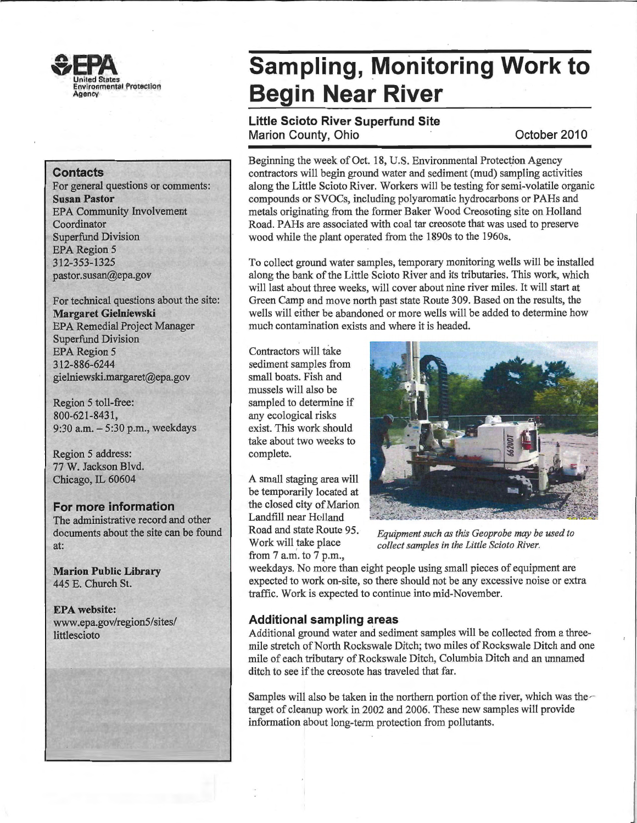

#### **Contacts**

For general questions or comments: **Susan Pastor**  EPA Community Involvement Coordinator Superfund Division EPA Region 5 312-353-1325 pastor.susan@epa.gov

For technical questions about the site: **Margaret Gielniewski**  EPA Remedial Project Manager Superfund Division EPA Region 5 312-886-6244 gielniewski.margaret@epa.gov

Region 5 toll-free: 800-621-8431' 9:30 a.m. - 5:30 p.m., weekdays

Region 5 address: 77 W. Jackson Blvd. Chicago, IL 60604

### **For more information**

The administrative record and other documents about the site can be found at:

**Marion Public Library**  445 E. Church St.

**EPA website:**  www.epa.gov/region5/sites/ littlescioto

## **Sampling, Monitoring Work to Begin Near River**

## **Little Scioto River Superfund Site Marion County, Ohio October 2010**

Beginning the week of Oct. 18, U.S. Environmental Protection Agency contractors will begin ground water and sediment (mud) sampling activities along the Little Scioto River. Workers will be testing for semi-volatile organic compounds or SVOCs, including polyaromatic hydrocarbons or PAHs and metals originating from the former Baker Wood Creosoting site on Holland Road. PAHs are associated with coal tar creosote that was used to preserve wood while the plant operated from the 1890s to the 1960s.

To collect ground water samples, temporary monitoring wells will be installed along the bank of the Little Scioto River and its tributaries. This work, which will last about three weeks, will cover about nine river miles. It will start at Green Camp and move north past state Route 309. Based on the results, the wells will either be abandoned or more wells will be added to determine how much contamination exists and where it is headed.

Contractors will take sediment samples from small boats. Fish and mussels will also be sampled to determine if any ecological risks exist. This work should take about two weeks to complete.

A small staging area will be temporarily located at the closed city of Marion Landfill near Holland Road and state Route 95. Work will take place from 7 a.m. to 7 p.m.,



*Equipment such as this Geoprobe may be used to collect samples in the Little Scioto River.* 

weekdays. No more than eight people using small pieces of equipment are expected to work on-site, so there should not be any excessive noise or extra traffic. Work is expected to continue into mid-November.

### **Additional sampling areas**

Additional ground water and sediment samples will be collected from a threemile stretch of North Rockswale Ditch; two miles of Rockswale Ditch and one mile of each tributary of Rockswale Ditch, Columbia Ditch and an unnamed ditch to see if the creosote has traveled that far.

Samples will also be taken in the northern portion of the river, which was the  $\sim$ target of cleanup work in 2002 and 2006. These new samples will provide information about long-term protection from pollutants.